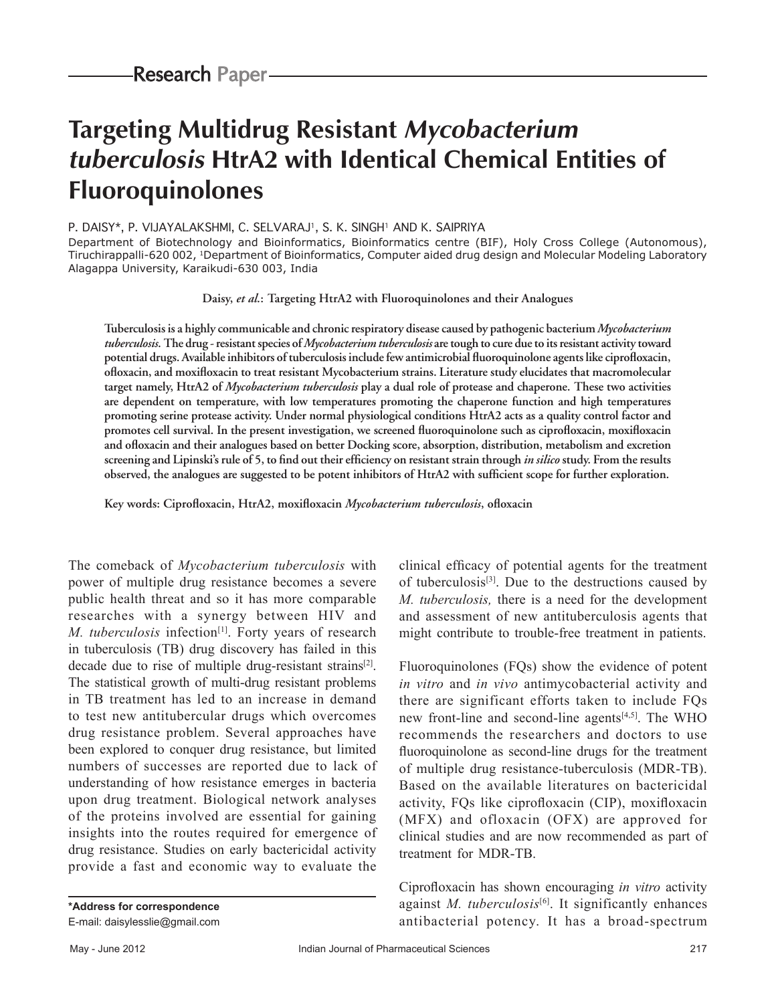# **Targeting Multidrug Resistant Mycobacterium tuberculosis HtrA2 with Identical Chemical Entities of Fluoroquinolones**

#### P. DAISY\*, P. VIJAYALAKSHMI, C. SELVARAJ<sup>1</sup>, S. K. SINGH<sup>1</sup> AND K. SAIPRIYA

Department of Biotechnology and Bioinformatics, Bioinformatics centre (BIF), Holy Cross College (Autonomous), Tiruchirappalli-620 002, 1Department of Bioinformatics, Computer aided drug design and Molecular Modeling Laboratory Alagappa University, Karaikudi-630 003, India

**Daisy,** *et al.***: Targeting HtrA2 with Fluoroquinolones and their Analogues**

**Tuberculosis is a highly communicable and chronic respiratory disease caused by pathogenic bacterium** *Mycobacterium tuberculosis***. The drug ‑ resistant species of** *Mycobacterium tuberculosis* **are tough to cure due to its resistant activity toward potential drugs. Available inhibitors of tuberculosis include few antimicrobial fluoroquinolone agents like ciprofloxacin, ofloxacin, and moxifloxacin to treat resistant Mycobacterium strains. Literature study elucidates that macromolecular target namely, HtrA2 of** *Mycobacterium tuberculosis* **play a dual role of protease and chaperone. These two activities are dependent on temperature, with low temperatures promoting the chaperone function and high temperatures promoting serine protease activity. Under normal physiological conditions HtrA2 acts as a quality control factor and promotes cell survival. In the present investigation, we screened fluoroquinolone such as ciprofloxacin, moxifloxacin and ofloxacin and their analogues based on better Docking score, absorption, distribution, metabolism and excretion screening and Lipinski's rule of 5, to find out their efficiency on resistant strain through** *in silico* **study. From the results observed, the analogues are suggested to be potent inhibitors of HtrA2 with sufficient scope for further exploration.**

**Key words: Ciprofloxacin, HtrA2, moxifloxacin** *Mycobacterium tuberculosis***, ofloxacin**

The comeback of *Mycobacterium tuberculosis* with power of multiple drug resistance becomes a severe public health threat and so it has more comparable researches with a synergy between HIV and *M. tuberculosis* infection<sup>[1]</sup>. Forty years of research in tuberculosis (TB) drug discovery has failed in this decade due to rise of multiple drug-resistant strains<sup>[2]</sup>. The statistical growth of multi-drug resistant problems in TB treatment has led to an increase in demand to test new antitubercular drugs which overcomes drug resistance problem. Several approaches have been explored to conquer drug resistance, but limited numbers of successes are reported due to lack of understanding of how resistance emerges in bacteria upon drug treatment. Biological network analyses of the proteins involved are essential for gaining insights into the routes required for emergence of drug resistance. Studies on early bactericidal activity provide a fast and economic way to evaluate the

**\*Address for correspondence** E-mail: daisylesslie@gmail.com clinical efficacy of potential agents for the treatment of tuberculosis<sup>[3]</sup>. Due to the destructions caused by *M. tuberculosis,* there is a need for the development and assessment of new antituberculosis agents that might contribute to trouble-free treatment in patients.

Fluoroquinolones (FQs) show the evidence of potent *in vitro* and *in vivo* antimycobacterial activity and there are significant efforts taken to include FQs new front-line and second-line agents<sup>[4,5]</sup>. The WHO recommends the researchers and doctors to use fluoroquinolone as second-line drugs for the treatment of multiple drug resistance-tuberculosis (MDR-TB). Based on the available literatures on bactericidal activity, FQs like ciprofloxacin (CIP), moxifloxacin (MFX) and ofloxacin (OFX) are approved for clinical studies and are now recommended as part of treatment for MDR-TB.

Ciprofloxacin has shown encouraging *in vitro* activity against *M. tuberculosis*<sup>[6]</sup>. It significantly enhances antibacterial potency. It has a broad-spectrum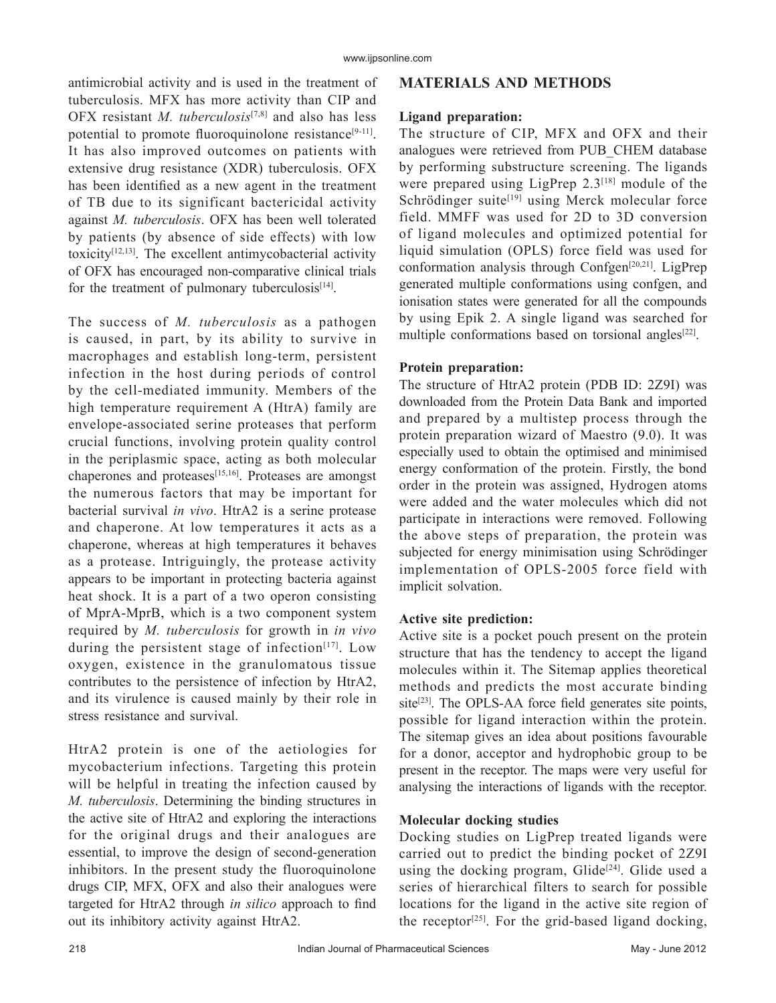antimicrobial activity and is used in the treatment of tuberculosis. MFX has more activity than CIP and OFX resistant *M. tuberculosis*[7,8] and also has less potential to promote fluoroquinolone resistance<sup>[9-11]</sup>. It has also improved outcomes on patients with extensive drug resistance (XDR) tuberculosis. OFX has been identified as a new agent in the treatment of TB due to its significant bactericidal activity against *M. tuberculosis*. OFX has been well tolerated by patients (by absence of side effects) with low toxicity[12,13]. The excellent antimycobacterial activity of OFX has encouraged non‑comparative clinical trials for the treatment of pulmonary tuberculosis $[14]$ .

The success of *M. tuberculosis* as a pathogen is caused, in part, by its ability to survive in macrophages and establish long‑term, persistent infection in the host during periods of control by the cell-mediated immunity. Members of the high temperature requirement A (HtrA) family are envelope‑associated serine proteases that perform crucial functions, involving protein quality control in the periplasmic space, acting as both molecular chaperones and proteases<sup>[15,16]</sup>. Proteases are amongst the numerous factors that may be important for bacterial survival *in vivo*. HtrA2 is a serine protease and chaperone. At low temperatures it acts as a chaperone, whereas at high temperatures it behaves as a protease. Intriguingly, the protease activity appears to be important in protecting bacteria against heat shock. It is a part of a two operon consisting of MprA‑MprB, which is a two component system required by *M. tuberculosis* for growth in *in vivo*  during the persistent stage of infection $[17]$ . Low oxygen, existence in the granulomatous tissue contributes to the persistence of infection by HtrA2, and its virulence is caused mainly by their role in stress resistance and survival.

HtrA2 protein is one of the aetiologies for mycobacterium infections. Targeting this protein will be helpful in treating the infection caused by *M. tuberculosis*. Determining the binding structures in the active site of HtrA2 and exploring the interactions for the original drugs and their analogues are essential, to improve the design of second-generation inhibitors. In the present study the fluoroquinolone drugs CIP, MFX, OFX and also their analogues were targeted for HtrA2 through *in silico* approach to find out its inhibitory activity against HtrA2.

# **MATERIALS AND METHODS**

## **Ligand preparation:**

The structure of CIP, MFX and OFX and their analogues were retrieved from PUB\_CHEM database by performing substructure screening. The ligands were prepared using LigPrep  $2.3^{[18]}$  module of the Schrödinger suite<sup>[19]</sup> using Merck molecular force field. MMFF was used for 2D to 3D conversion of ligand molecules and optimized potential for liquid simulation (OPLS) force field was used for conformation analysis through Confgen[20,21]. LigPrep generated multiple conformations using confgen, and ionisation states were generated for all the compounds by using Epik 2. A single ligand was searched for multiple conformations based on torsional angles<sup>[22]</sup>.

#### **Protein preparation:**

The structure of HtrA2 protein (PDB ID: 2Z9I) was downloaded from the Protein Data Bank and imported and prepared by a multistep process through the protein preparation wizard of Maestro (9.0). It was especially used to obtain the optimised and minimised energy conformation of the protein. Firstly, the bond order in the protein was assigned, Hydrogen atoms were added and the water molecules which did not participate in interactions were removed. Following the above steps of preparation, the protein was subjected for energy minimisation using Schrödinger implementation of OPLS‑2005 force field with implicit solvation.

#### **Active site prediction:**

Active site is a pocket pouch present on the protein structure that has the tendency to accept the ligand molecules within it. The Sitemap applies theoretical methods and predicts the most accurate binding site<sup>[23]</sup>. The OPLS-AA force field generates site points, possible for ligand interaction within the protein. The sitemap gives an idea about positions favourable for a donor, acceptor and hydrophobic group to be present in the receptor. The maps were very useful for analysing the interactions of ligands with the receptor.

## **Molecular docking studies**

Docking studies on LigPrep treated ligands were carried out to predict the binding pocket of 2Z9I using the docking program, Glide<sup>[24]</sup>. Glide used a series of hierarchical filters to search for possible locations for the ligand in the active site region of the receptor<sup>[25]</sup>. For the grid-based ligand docking,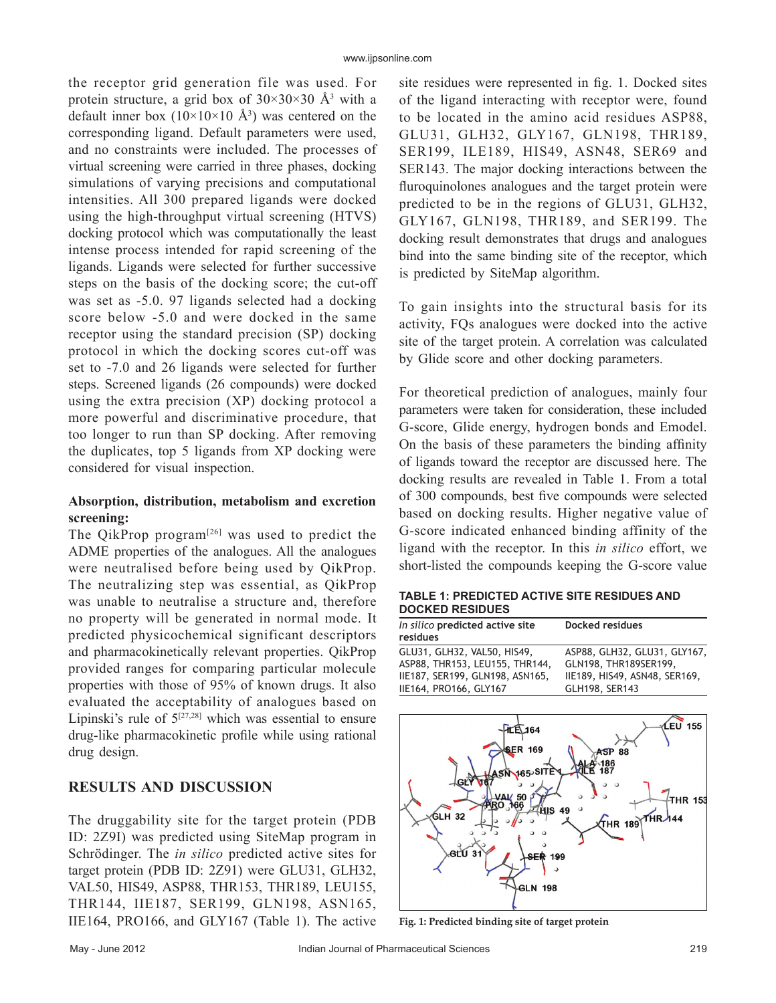the receptor grid generation file was used. For protein structure, a grid box of  $30 \times 30 \times 30$  Å<sup>3</sup> with a default inner box  $(10\times10\times10 \text{ Å}^3)$  was centered on the corresponding ligand. Default parameters were used, and no constraints were included. The processes of virtual screening were carried in three phases, docking simulations of varying precisions and computational intensities. All 300 prepared ligands were docked using the high-throughput virtual screening (HTVS) docking protocol which was computationally the least intense process intended for rapid screening of the ligands. Ligands were selected for further successive steps on the basis of the docking score; the cut-off was set as  $-5.0$ . 97 ligands selected had a docking score below -5.0 and were docked in the same receptor using the standard precision (SP) docking protocol in which the docking scores cut‑off was set to  $-7.0$  and 26 ligands were selected for further steps. Screened ligands (26 compounds) were docked using the extra precision (XP) docking protocol a more powerful and discriminative procedure, that too longer to run than SP docking. After removing the duplicates, top 5 ligands from XP docking were considered for visual inspection.

# **Absorption, distribution, metabolism and excretion screening:**

The QikProp program<sup>[26]</sup> was used to predict the ADME properties of the analogues. All the analogues were neutralised before being used by QikProp. The neutralizing step was essential, as QikProp was unable to neutralise a structure and, therefore no property will be generated in normal mode. It predicted physicochemical significant descriptors and pharmacokinetically relevant properties. QikProp provided ranges for comparing particular molecule properties with those of 95% of known drugs. It also evaluated the acceptability of analogues based on Lipinski's rule of  $5^{[27,28]}$  which was essential to ensure drug‑like pharmacokinetic profile while using rational drug design.

# **RESULTS AND DISCUSSION**

The druggability site for the target protein (PDB ID: 2Z9I) was predicted using SiteMap program in Schrödinger. The *in silico* predicted active sites for target protein (PDB ID: 2Z91) were GLU31, GLH32, VAL50, HIS49, ASP88, THR153, THR189, LEU155, THR144, IIE187, SER199, GLN198, ASN165, IIE164, PRO166, and GLY167 (Table 1). The active

site residues were represented in fig. 1. Docked sites of the ligand interacting with receptor were, found to be located in the amino acid residues ASP88, GLU31, GLH32, GLY167, GLN198, THR189, SER199, ILE189, HIS49, ASN48, SER69 and SER143. The major docking interactions between the fluroquinolones analogues and the target protein were predicted to be in the regions of GLU31, GLH32, GLY167, GLN198, THR189, and SER199. The docking result demonstrates that drugs and analogues bind into the same binding site of the receptor, which is predicted by SiteMap algorithm.

To gain insights into the structural basis for its activity, FQs analogues were docked into the active site of the target protein. A correlation was calculated by Glide score and other docking parameters.

For theoretical prediction of analogues, mainly four parameters were taken for consideration, these included G‑score, Glide energy, hydrogen bonds and Emodel. On the basis of these parameters the binding affinity of ligands toward the receptor are discussed here. The docking results are revealed in Table 1. From a total of 300 compounds, best five compounds were selected based on docking results. Higher negative value of G‑score indicated enhanced binding affinity of the ligand with the receptor. In this *in silico* effort, we short-listed the compounds keeping the G-score value

**TABLE 1: PREDICTED ACTIVE SITE RESIDUES AND DOCKED RESIDUES**

| In silico predicted active site<br>residues | Docked residues               |
|---------------------------------------------|-------------------------------|
| GLU31, GLH32, VAL50, HIS49,                 | ASP88, GLH32, GLU31, GLY167,  |
| ASP88, THR153, LEU155, THR144,              | GLN198, THR189SER199,         |
| IIE187, SER199, GLN198, ASN165,             | IIE189, HIS49, ASN48, SER169, |
| IIE164, PRO166, GLY167                      | GLH198, SER143                |



**Fig. 1: Predicted binding site of target protein**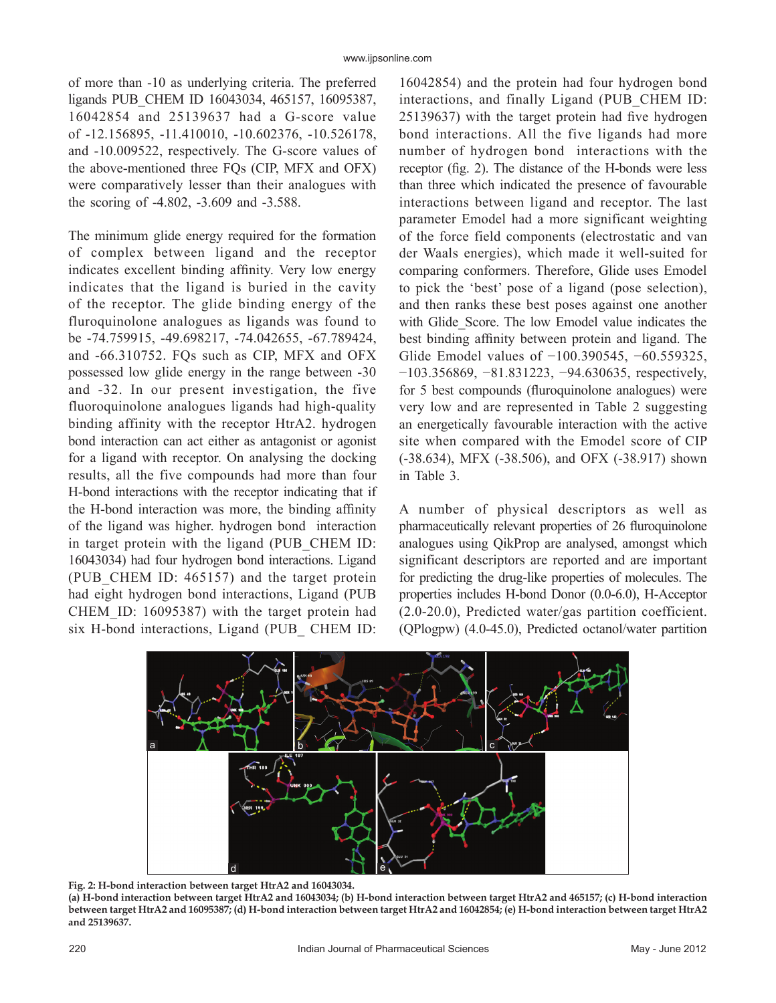of more than ‑10 as underlying criteria. The preferred ligands PUB\_CHEM ID 16043034, 465157, 16095387, 16042854 and 25139637 had a G‑score value of ‑12.156895, ‑11.410010, ‑10.602376, ‑10.526178, and ‑10.009522, respectively. The G‑score values of the above‑mentioned three FQs (CIP, MFX and OFX) were comparatively lesser than their analogues with the scoring of -4.802, -3.609 and -3.588.

The minimum glide energy required for the formation of complex between ligand and the receptor indicates excellent binding affinity. Very low energy indicates that the ligand is buried in the cavity of the receptor. The glide binding energy of the fluroquinolone analogues as ligands was found to be ‑74.759915, ‑49.698217, ‑74.042655, ‑67.789424, and ‑66.310752. FQs such as CIP, MFX and OFX possessed low glide energy in the range between ‑30 and ‑32. In our present investigation, the five fluoroquinolone analogues ligands had high-quality binding affinity with the receptor HtrA2. hydrogen bond interaction can act either as antagonist or agonist for a ligand with receptor. On analysing the docking results, all the five compounds had more than four H-bond interactions with the receptor indicating that if the H‑bond interaction was more, the binding affinity of the ligand was higher. hydrogen bond interaction in target protein with the ligand (PUB\_CHEM ID: 16043034) had four hydrogen bond interactions. Ligand (PUB CHEM ID: 465157) and the target protein had eight hydrogen bond interactions, Ligand (PUB CHEM\_ID: 16095387) with the target protein had six H-bond interactions, Ligand (PUB CHEM ID:

16042854) and the protein had four hydrogen bond interactions, and finally Ligand (PUB\_CHEM ID: 25139637) with the target protein had five hydrogen bond interactions. All the five ligands had more number of hydrogen bond interactions with the receptor (fig. 2). The distance of the H-bonds were less than three which indicated the presence of favourable interactions between ligand and receptor. The last parameter Emodel had a more significant weighting of the force field components (electrostatic and van der Waals energies), which made it well‑suited for comparing conformers. Therefore, Glide uses Emodel to pick the 'best' pose of a ligand (pose selection), and then ranks these best poses against one another with Glide Score. The low Emodel value indicates the best binding affinity between protein and ligand. The Glide Emodel values of −100.390545, −60.559325, −103.356869, −81.831223, −94.630635, respectively, for 5 best compounds (fluroquinolone analogues) were very low and are represented in Table 2 suggesting an energetically favourable interaction with the active site when compared with the Emodel score of CIP (‑38.634), MFX (‑38.506), and OFX (‑38.917) shown in Table 3.

A number of physical descriptors as well as pharmaceutically relevant properties of 26 fluroquinolone analogues using QikProp are analysed, amongst which significant descriptors are reported and are important for predicting the drug-like properties of molecules. The properties includes H‑bond Donor (0.0‑6.0), H‑Acceptor (2.0‑20.0), Predicted water/gas partition coefficient. (QPlogpw) (4.0‑45.0), Predicted octanol/water partition



**Fig. 2: H-bond interaction between target HtrA2 and 16043034. (a) H-bond interaction between target HtrA2 and 16043034; (b) H-bond interaction between target HtrA2 and 465157; (c) H-bond interaction between target HtrA2 and 16095387; (d) H-bond interaction between target HtrA2 and 16042854; (e) H-bond interaction between target HtrA2 and 25139637.**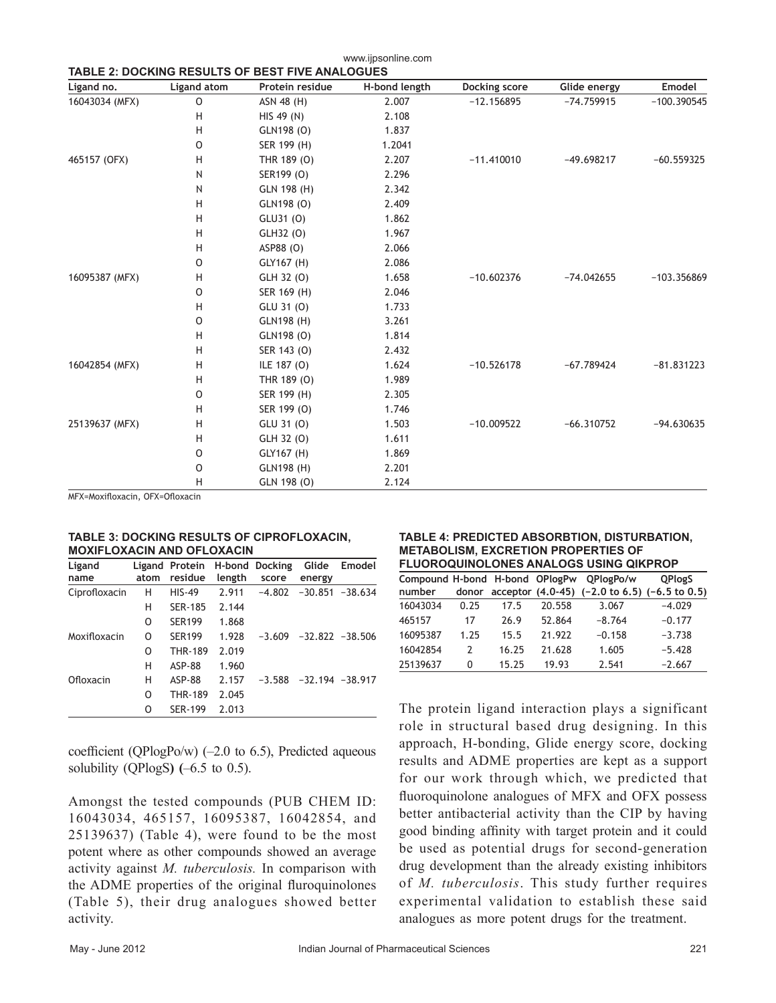| Ligand no.     | <b>Ligand atom</b> | Protein residue | H-bond length | Docking score | Glide energy | Emodel        |
|----------------|--------------------|-----------------|---------------|---------------|--------------|---------------|
| 16043034 (MFX) | O                  | ASN 48 (H)      | 2.007         | $-12.156895$  | $-74.759915$ | $-100.390545$ |
|                | H                  | HIS 49 (N)      | 2.108         |               |              |               |
|                | H                  | GLN198 (O)      | 1.837         |               |              |               |
|                | $\circ$            | SER 199 (H)     | 1.2041        |               |              |               |
| 465157 (OFX)   | Н                  | THR 189 (O)     | 2.207         | $-11.410010$  | $-49.698217$ | $-60.559325$  |
|                | N                  | SER199 (O)      | 2.296         |               |              |               |
|                | N                  | GLN 198 (H)     | 2.342         |               |              |               |
|                | H                  | GLN198 (O)      | 2.409         |               |              |               |
|                | H                  | GLU31 (0)       | 1.862         |               |              |               |
|                | H                  | GLH32 (O)       | 1.967         |               |              |               |
|                | H                  | ASP88 (O)       | 2.066         |               |              |               |
|                | O                  | GLY167 (H)      | 2.086         |               |              |               |
| 16095387 (MFX) | Н                  | GLH 32 (0)      | 1.658         | $-10.602376$  | $-74.042655$ | $-103.356869$ |
|                | $\circ$            | SER 169 (H)     | 2.046         |               |              |               |
|                | H                  | GLU 31 (0)      | 1.733         |               |              |               |
|                | $\circ$            | GLN198 (H)      | 3.261         |               |              |               |
|                | H                  | GLN198 (O)      | 1.814         |               |              |               |
|                | H                  | SER 143 (0)     | 2.432         |               |              |               |
| 16042854 (MFX) | H                  | ILE 187 (O)     | 1.624         | $-10.526178$  | $-67.789424$ | $-81.831223$  |
|                | H                  | THR 189 (O)     | 1.989         |               |              |               |
|                | $\circ$            | SER 199 (H)     | 2.305         |               |              |               |
|                | H                  | SER 199 (O)     | 1.746         |               |              |               |
| 25139637 (MFX) | н                  | GLU 31 (0)      | 1.503         | $-10.009522$  | $-66.310752$ | $-94.630635$  |
|                | H                  | GLH 32 (O)      | 1.611         |               |              |               |
|                | O                  | GLY167 (H)      | 1.869         |               |              |               |
|                | $\circ$            | GLN198 (H)      | 2.201         |               |              |               |
|                | H                  | GLN 198 (O)     | 2.124         |               |              |               |

www.ijpsonline.com

MFX=Moxifloxacin, OFX=Ofloxacin

#### **TABLE 3: DOCKING RESULTS OF CIPROFLOXACIN, MOXIFLOXACIN AND OFLOXACIN**

| Ligand<br>name | atom | Ligand Protein H-bond Docking<br>residue | length | score    | Glide<br>energy              | Emodel             |
|----------------|------|------------------------------------------|--------|----------|------------------------------|--------------------|
| Ciprofloxacin  | н    | <b>HIS-49</b>                            | 2.911  | $-4.802$ |                              | $-30.851 - 38.634$ |
|                | н    | <b>SER-185</b>                           | 2.144  |          |                              |                    |
|                | O    | <b>SFR199</b>                            | 1.868  |          |                              |                    |
| Moxifloxacin   | O    | <b>SER199</b>                            | 1.928  |          | $-3.609$ $-32.822$ $-38.506$ |                    |
|                | O    | <b>THR-189</b>                           | 2.019  |          |                              |                    |
|                | н    | <b>ASP-88</b>                            | 1.960  |          |                              |                    |
| Ofloxacin      | н    | <b>ASP-88</b>                            | 2.157  | $-3.588$ | $-32.194 - 38.917$           |                    |
|                | O    | <b>THR-189</b>                           | 2.045  |          |                              |                    |
|                | O    | <b>SER-199</b>                           | 2.013  |          |                              |                    |

coefficient (QPlogPo/w)  $(-2.0 \text{ to } 6.5)$ , Predicted aqueous solubility (QPlogS**) (**–6.5 to 0.5).

Amongst the tested compounds (PUB CHEM ID: 16043034, 465157, 16095387, 16042854, and 25139637) (Table 4), were found to be the most potent where as other compounds showed an average activity against *M. tuberculosis.* In comparison with the ADME properties of the original fluroquinolones (Table 5), their drug analogues showed better activity.

#### **TABLE 4: PREDICTED ABSORBTION, DISTURBATION, METABOLISM, EXCRETION PROPERTIES OF FLUOROQUINOLONES ANALOGS USING QIKPROP**

| ו בטטומטשטווזטבטוזבט הוזהבטטט טטווזט שווזו וזטו |               |       |        |                                                                             |               |
|-------------------------------------------------|---------------|-------|--------|-----------------------------------------------------------------------------|---------------|
| Compound H-bond H-bond OPlogPw                  |               |       |        | OPlogPo/w                                                                   | <b>OPlogS</b> |
| number                                          |               |       |        | donor acceptor $(4.0-45)$ $(-2.0 \text{ to } 6.5)$ $(-6.5 \text{ to } 0.5)$ |               |
| 16043034                                        | 0.25          | 17.5  | 20.558 | 3.067                                                                       | $-4.029$      |
| 465157                                          | 17            | 26.9  | 52.864 | $-8.764$                                                                    | $-0.177$      |
| 16095387                                        | 1.25          | 15.5  | 21.922 | $-0.158$                                                                    | $-3.738$      |
| 16042854                                        | $\mathcal{P}$ | 16.25 | 21.628 | 1.605                                                                       | $-5.428$      |
| 25139637                                        | 0             | 15.25 | 19.93  | 2.541                                                                       | $-2.667$      |
|                                                 |               |       |        |                                                                             |               |

The protein ligand interaction plays a significant role in structural based drug designing. In this approach, H‑bonding, Glide energy score, docking results and ADME properties are kept as a support for our work through which, we predicted that fluoroquinolone analogues of MFX and OFX possess better antibacterial activity than the CIP by having good binding affinity with target protein and it could be used as potential drugs for second-generation drug development than the already existing inhibitors of *M. tuberculosis*. This study further requires experimental validation to establish these said analogues as more potent drugs for the treatment.